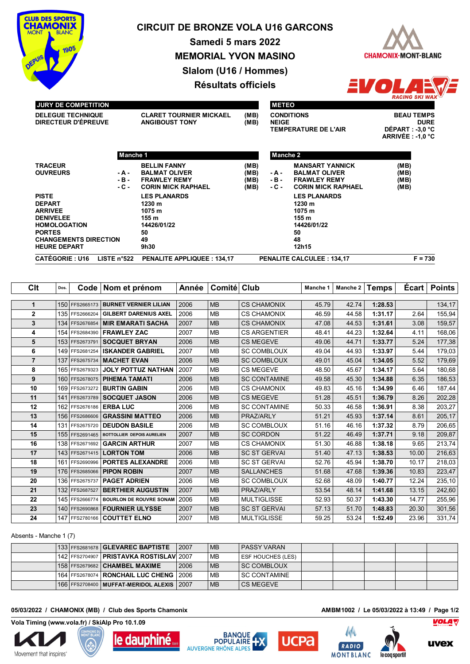

# **CIRCUIT DE BRONZE VOLA U16 GARCONS**

**Samedi 5 mars 2022 MEMORIAL YVON MASINO Slalom (U16 / Hommes) Résultats officiels**





## **JURY DE COMPETITION**

**DIRECTEUR D'ÉPREUVE ANGIBOUST TONY (MB)**

**DELEGUE TECHNIQUE CLARET TOURNIER MICKAEL (MB)**

**METEO CONDITIONS BEAU TEMPS NEIGE DURE TEMPERATURE DE L'AIR** 

**ARRIVÉE : -1,0 °C**

|                              | Manche 1      |                                   |      | Manche 2 |                                  |           |
|------------------------------|---------------|-----------------------------------|------|----------|----------------------------------|-----------|
| <b>TRACEUR</b>               |               | <b>BELLIN FANNY</b>               | (MB) |          | <b>MANSART YANNICK</b>           | (MB)      |
| <b>OUVREURS</b>              | - A -         | <b>BALMAT OLIVER</b>              | (MB) | - A -    | <b>BALMAT OLIVER</b>             | (MB)      |
|                              | - B -         | <b>FRAWLEY REMY</b>               | (MB) | $-B -$   | <b>FRAWLEY REMY</b>              | (MB)      |
|                              | - C -         | <b>CORIN MICK RAPHAEL</b>         | (MB) | $-C -$   | <b>CORIN MICK RAPHAEL</b>        | (MB)      |
| <b>PISTE</b>                 |               | <b>LES PLANARDS</b>               |      |          | <b>LES PLANARDS</b>              |           |
| <b>DEPART</b>                |               | 1230 m                            |      |          | 1230 m                           |           |
| <b>ARRIVEE</b>               |               | 1075 m                            |      |          | 1075 m                           |           |
| <b>DENIVELEE</b>             |               | 155 m                             |      |          | 155 m                            |           |
| <b>HOMOLOGATION</b>          |               | 14426/01/22                       |      |          | 14426/01/22                      |           |
| <b>PORTES</b>                |               | 50                                |      |          | 50                               |           |
| <b>CHANGEMENTS DIRECTION</b> |               | 49                                |      |          | 48                               |           |
| <b>HEURE DEPART</b>          |               | 9h30                              |      |          | 12h15                            |           |
| <b>CATÉGORIE: U16</b>        | LISTE $n°522$ | <b>PENALITE APPLIQUEE: 134.17</b> |      |          | <b>PENALITE CALCULEE: 134.17</b> | $F = 730$ |

| Clt            | Dos. | Code <sub>1</sub> | Nom et prénom                  | Année | Comité Club |                     | Manche 1 | Manche 2 | <b>Temps</b> | Ecart | <b>Points</b> |
|----------------|------|-------------------|--------------------------------|-------|-------------|---------------------|----------|----------|--------------|-------|---------------|
|                |      |                   |                                |       |             |                     |          |          |              |       |               |
| 1              |      | 150 FFS2665173    | <b>BURNET VERNIER LILIAN</b>   | 2006  | <b>MB</b>   | <b>CS CHAMONIX</b>  | 45.79    | 42.74    | 1:28.53      |       | 134,17        |
| $\mathbf{2}$   |      | 135 FFS2666204    | <b>GILBERT DARENIUS AXEL</b>   | 2006  | <b>MB</b>   | <b>CS CHAMONIX</b>  | 46.59    | 44.58    | 1:31.17      | 2.64  | 155,94        |
| 3              |      | 134 FFS2676854    | <b>MIR EMARATI SACHA</b>       | 2007  | <b>MB</b>   | <b>CS CHAMONIX</b>  | 47.08    | 44.53    | 1:31.61      | 3.08  | 159,57        |
| 4              |      |                   | 154 FFS2684390   FRAWLEY ZAC   | 2007  | <b>MB</b>   | <b>CS ARGENTIER</b> | 48.41    | 44.23    | 1:32.64      | 4.11  | 168,06        |
| 5              | 153  | FFS2673791        | <b>SOCQUET BRYAN</b>           | 2006  | <b>MB</b>   | <b>CS MEGEVE</b>    | 49.06    | 44.71    | 1:33.77      | 5.24  | 177,38        |
| 6              |      | 149 FFS2681254    | <b>ISKANDER GABRIEL</b>        | 2007  | <b>MB</b>   | <b>SC COMBLOUX</b>  | 49.04    | 44.93    | 1:33.97      | 5.44  | 179,03        |
| $\overline{7}$ |      | 137 FFS2675734    | <b>MACHET EVAN</b>             | 2006  | <b>MB</b>   | <b>SC COMBLOUX</b>  | 49.01    | 45.04    | 1:34.05      | 5.52  | 179,69        |
| 8              |      | 165 FFS2679323    | <b>JOLY POTTUZ NATHAN</b>      | 2007  | <b>MB</b>   | <b>CS MEGEVE</b>    | 48.50    | 45.67    | 1:34.17      | 5.64  | 180,68        |
| 9              |      | 160 FFS2678075    | PIHEMA TAMATI                  | 2006  | <b>MB</b>   | <b>SC CONTAMINE</b> | 49.58    | 45.30    | 1:34.88      | 6.35  | 186,53        |
| 10             |      | 169 FFS2673272    | <b>BURTIN GABIN</b>            | 2006  | <b>MB</b>   | <b>CS CHAMONIX</b>  | 49.83    | 45.16    | 1:34.99      | 6.46  | 187,44        |
| 11             |      | 141 FFS2673789    | <b>SOCQUET JASON</b>           | 2006  | <b>MB</b>   | <b>CS MEGEVE</b>    | 51.28    | 45.51    | 1:36.79      | 8.26  | 202,28        |
| 12             | 162  | FFS2676186        | <b>ERBALUC</b>                 | 2006  | <b>MB</b>   | <b>SC CONTAMINE</b> | 50.33    | 46.58    | 1:36.91      | 8.38  | 203,27        |
| 13             |      | 156 FFS2686606    | <b>GRASSINI MATTEO</b>         | 2006  | <b>MB</b>   | PRAZ/ARLY           | 51.21    | 45.93    | 1:37.14      | 8.61  | 205,17        |
| 14             |      | 131 FFS2675720    | <b>DEUDON BASILE</b>           | 2006  | <b>MB</b>   | <b>SC COMBLOUX</b>  | 51.16    | 46.16    | 1:37.32      | 8.79  | 206,65        |
| 15             |      | 155 FFS2691465    | BOTTOLLIER DEPOIS AURELIEN     | 2007  | <b>MB</b>   | <b>SC CORDON</b>    | 51.22    | 46.49    | 1:37.71      | 9.18  | 209,87        |
| 16             |      | 138 FFS2671692    | <b>GARCIN ARTHUR</b>           | 2007  | <b>MB</b>   | <b>CS CHAMONIX</b>  | 51.30    | 46.88    | 1:38.18      | 9.65  | 213,74        |
| 17             |      | 143 FFS2671415    | <b>LORTON TOM</b>              | 2006  | <b>MB</b>   | <b>SC ST GERVAL</b> | 51.40    | 47.13    | 1:38.53      | 10.00 | 216,63        |
| 18             |      | 161 FFS2690996    | <b>PORTES ALEXANDRE</b>        | 2006  | <b>MB</b>   | <b>SC ST GERVAI</b> | 52.76    | 45.94    | 1:38.70      | 10.17 | 218,03        |
| 19             | 176  | FFS2685066        | <b>PIPON ROBIN</b>             | 2007  | <b>MB</b>   | <b>SALLANCHES</b>   | 51.68    | 47.68    | 1:39.36      | 10.83 | 223,47        |
| 20             | 136  | FFS2675737        | <b>PAGET ADRIEN</b>            | 2006  | <b>MB</b>   | <b>SC COMBLOUX</b>  | 52.68    | 48.09    | 1:40.77      | 12.24 | 235,10        |
| 21             | 132  | FFS2687527        | <b>BERTHIER AUGUSTIN</b>       | 2007  | <b>MB</b>   | PRAZ/ARLY           | 53.54    | 48.14    | 1:41.68      | 13.15 | 242,60        |
| 22             |      | 145 FFS2666774    | <b>BOURLON DE ROUVRE SONAM</b> | 2006  | <b>MB</b>   | <b>MULTIGLISSE</b>  | 52.93    | 50.37    | 1:43.30      | 14.77 | 255,96        |
| 23             |      | 140 FFS2690868    | <b>FOURNIER ULYSSE</b>         | 2007  | <b>MB</b>   | <b>SC ST GERVAI</b> | 57.13    | 51.70    | 1:48.83      | 20.30 | 301,56        |
| 24             |      | 147 FFS2780166    | <b>COUTTET ELNO</b>            | 2007  | <b>MB</b>   | <b>MULTIGLISSE</b>  | 59.25    | 53.24    | 1:52.49      | 23.96 | 331,74        |

Absents - Manche 1 (7)

|  | 133 FFS2681678   GLEVAREC BAPTISTE          | 2007 | l MB      | <b>PASSY VARAN</b> |  |  |  |
|--|---------------------------------------------|------|-----------|--------------------|--|--|--|
|  | 142 FFS2704907   PRISTAVKA ROSTISLAV 2007   |      | l MB      | ESF HOUCHES (LES)  |  |  |  |
|  | 158 FFS2679682 CHAMBEL MAXIME               | 2006 | l MB      | <b>SC COMBLOUX</b> |  |  |  |
|  | 164 FFS2678074   RONCHAIL LUC CHENG   2006  |      | l MB      | I SC CONTAMINE     |  |  |  |
|  | 166 FFS2708400 MUFFAT-MERIDOL ALEXIS   2007 |      | <b>MB</b> | CS MEGEVE          |  |  |  |

# 05/03/2022 / CHAMONIX (MB) / Club des Sports Chamonix **AMBM1002** / Le 05/03/2022 à 13:49 / Page 1/2

**Vola Timing (www.vola.fr) / SkiAlp Pro 10.1.09**











M.



**VOLA**